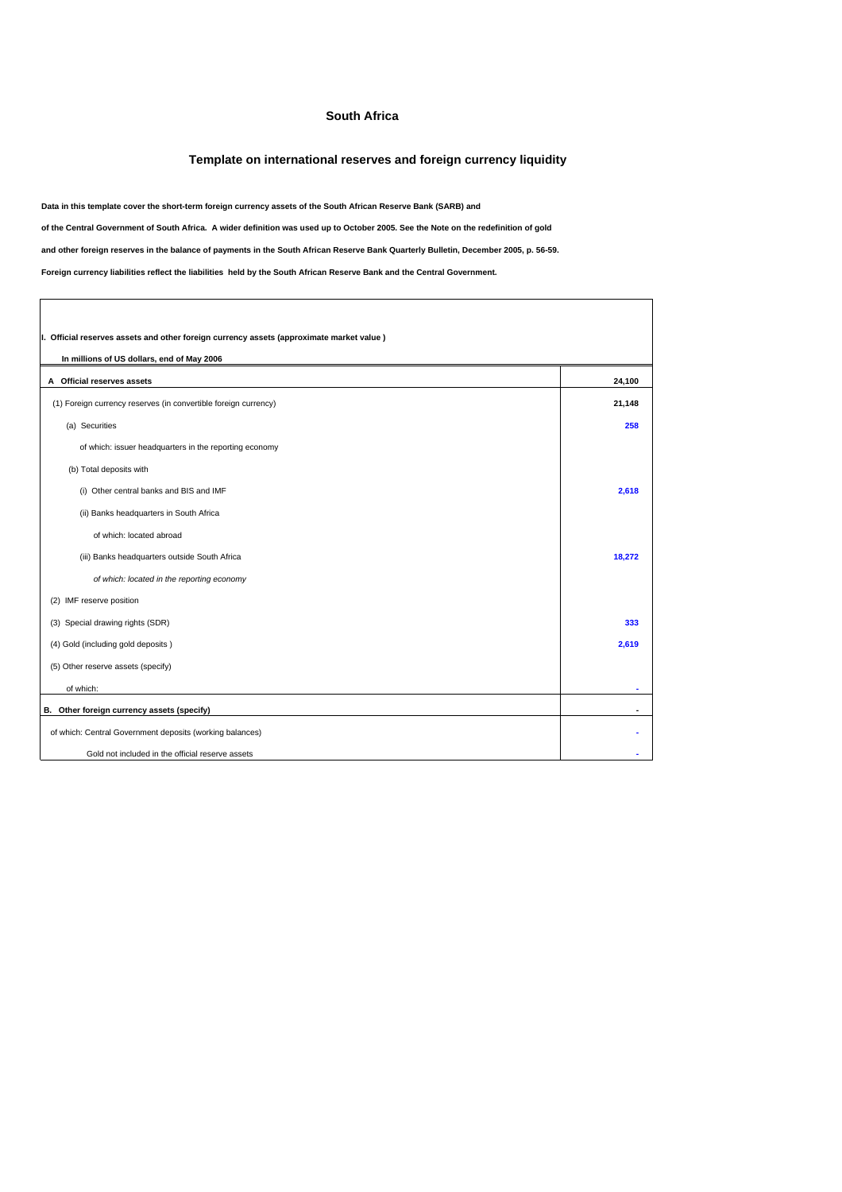## **South Africa**

## **Template on international reserves and foreign currency liquidity**

**Data in this template cover the short-term foreign currency assets of the South African Reserve Bank (SARB) and**

**of the Central Government of South Africa. A wider definition was used up to October 2005. See the Note on the redefinition of gold**

**and other foreign reserves in the balance of payments in the South African Reserve Bank Quarterly Bulletin, December 2005, p. 56-59.**

**Foreign currency liabilities reflect the liabilities held by the South African Reserve Bank and the Central Government.**

| I. Official reserves assets and other foreign currency assets (approximate market value) |        |
|------------------------------------------------------------------------------------------|--------|
| In millions of US dollars, end of May 2006                                               |        |
| A Official reserves assets                                                               | 24,100 |
| (1) Foreign currency reserves (in convertible foreign currency)                          | 21,148 |
| (a) Securities                                                                           | 258    |
| of which: issuer headquarters in the reporting economy                                   |        |
| (b) Total deposits with                                                                  |        |
| (i) Other central banks and BIS and IMF                                                  | 2,618  |
| (ii) Banks headquarters in South Africa                                                  |        |
| of which: located abroad                                                                 |        |
| (iii) Banks headquarters outside South Africa                                            | 18,272 |
| of which: located in the reporting economy                                               |        |
| (2) IMF reserve position                                                                 |        |
| (3) Special drawing rights (SDR)                                                         | 333    |
| (4) Gold (including gold deposits)                                                       | 2,619  |
| (5) Other reserve assets (specify)                                                       |        |
| of which:                                                                                |        |
| B. Other foreign currency assets (specify)                                               |        |
| of which: Central Government deposits (working balances)                                 |        |
| Gold not included in the official reserve assets                                         |        |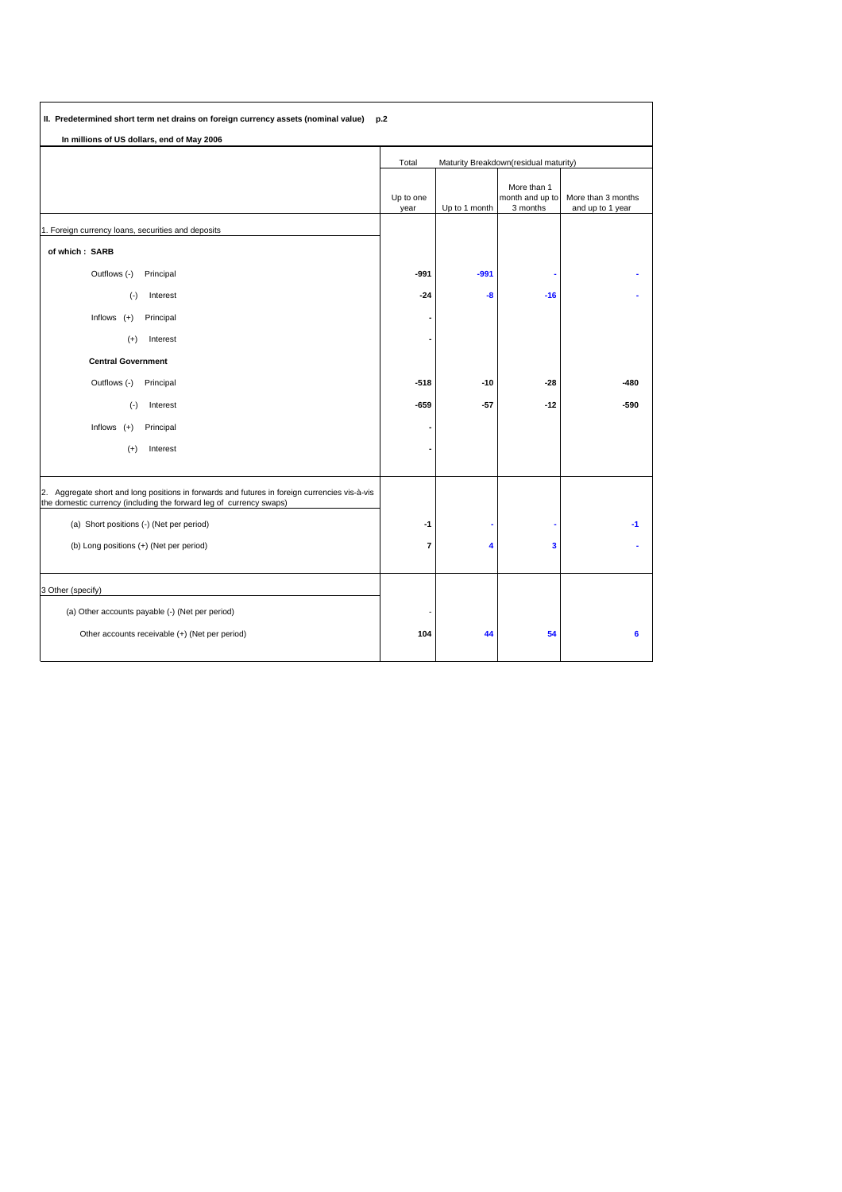| II. Predetermined short term net drains on foreign currency assets (nominal value) p.2                                                                               |                                                |               |                                            |                                        |
|----------------------------------------------------------------------------------------------------------------------------------------------------------------------|------------------------------------------------|---------------|--------------------------------------------|----------------------------------------|
| In millions of US dollars, end of May 2006                                                                                                                           |                                                |               |                                            |                                        |
|                                                                                                                                                                      | Total<br>Maturity Breakdown(residual maturity) |               |                                            |                                        |
|                                                                                                                                                                      | Up to one<br>year                              | Up to 1 month | More than 1<br>month and up to<br>3 months | More than 3 months<br>and up to 1 year |
| 1. Foreign currency loans, securities and deposits                                                                                                                   |                                                |               |                                            |                                        |
| of which: SARB                                                                                                                                                       |                                                |               |                                            |                                        |
| Outflows (-)<br>Principal                                                                                                                                            | -991                                           | $-991$        |                                            |                                        |
| $(\cdot)$<br>Interest                                                                                                                                                | $-24$                                          | -8            | $-16$                                      |                                        |
| Inflows $(+)$<br>Principal                                                                                                                                           |                                                |               |                                            |                                        |
| Interest<br>$^{(+)}$                                                                                                                                                 |                                                |               |                                            |                                        |
| <b>Central Government</b>                                                                                                                                            |                                                |               |                                            |                                        |
| Outflows (-)<br>Principal                                                                                                                                            | $-518$                                         | $-10$         | $-28$                                      | $-480$                                 |
| $(\cdot)$<br>Interest                                                                                                                                                | $-659$                                         | $-57$         | $-12$                                      | $-590$                                 |
| Inflows $(+)$<br>Principal                                                                                                                                           |                                                |               |                                            |                                        |
| $(+)$<br>Interest                                                                                                                                                    |                                                |               |                                            |                                        |
|                                                                                                                                                                      |                                                |               |                                            |                                        |
| 2. Aggregate short and long positions in forwards and futures in foreign currencies vis-à-vis<br>the domestic currency (including the forward leg of currency swaps) |                                                |               |                                            |                                        |
| (a) Short positions (-) (Net per period)                                                                                                                             | $-1$                                           |               |                                            | -1                                     |
| (b) Long positions (+) (Net per period)                                                                                                                              | $\overline{7}$                                 | 4             | 3                                          |                                        |
|                                                                                                                                                                      |                                                |               |                                            |                                        |
| 3 Other (specify)                                                                                                                                                    |                                                |               |                                            |                                        |
| (a) Other accounts payable (-) (Net per period)                                                                                                                      |                                                |               |                                            |                                        |
| Other accounts receivable (+) (Net per period)                                                                                                                       | 104                                            | 44            | 54                                         | 6                                      |
|                                                                                                                                                                      |                                                |               |                                            |                                        |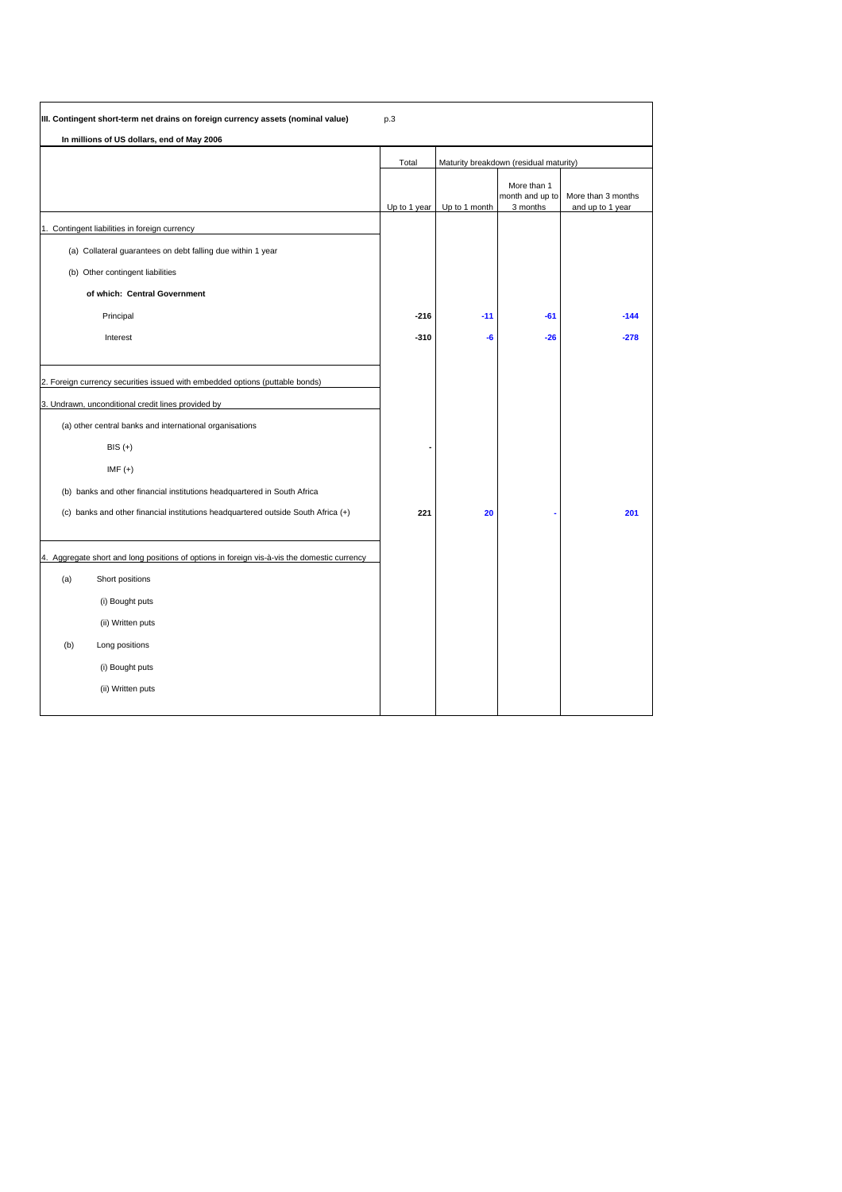|     | III. Contingent short-term net drains on foreign currency assets (nominal value)            | p.3          |                                        |                                            |                                        |
|-----|---------------------------------------------------------------------------------------------|--------------|----------------------------------------|--------------------------------------------|----------------------------------------|
|     | In millions of US dollars, end of May 2006                                                  |              |                                        |                                            |                                        |
|     |                                                                                             | Total        | Maturity breakdown (residual maturity) |                                            |                                        |
|     |                                                                                             | Up to 1 year | Up to 1 month                          | More than 1<br>month and up to<br>3 months | More than 3 months<br>and up to 1 year |
| l1. | Contingent liabilities in foreign currency                                                  |              |                                        |                                            |                                        |
|     | (a) Collateral guarantees on debt falling due within 1 year                                 |              |                                        |                                            |                                        |
|     | (b) Other contingent liabilities                                                            |              |                                        |                                            |                                        |
|     | of which: Central Government                                                                |              |                                        |                                            |                                        |
|     | Principal                                                                                   | $-216$       | $-11$                                  | $-61$                                      | $-144$                                 |
|     | Interest                                                                                    | $-310$       | -6                                     | $-26$                                      | $-278$                                 |
|     |                                                                                             |              |                                        |                                            |                                        |
|     | 2. Foreign currency securities issued with embedded options (puttable bonds)                |              |                                        |                                            |                                        |
|     | 3. Undrawn, unconditional credit lines provided by                                          |              |                                        |                                            |                                        |
|     | (a) other central banks and international organisations                                     |              |                                        |                                            |                                        |
|     | $BIS (+)$                                                                                   |              |                                        |                                            |                                        |
|     | $IMF (+)$                                                                                   |              |                                        |                                            |                                        |
|     | (b) banks and other financial institutions headquartered in South Africa                    |              |                                        |                                            |                                        |
|     | (c) banks and other financial institutions headquartered outside South Africa (+)           | 221          | 20                                     |                                            | 201                                    |
|     |                                                                                             |              |                                        |                                            |                                        |
|     | 4. Aggregate short and long positions of options in foreign vis-à-vis the domestic currency |              |                                        |                                            |                                        |
| (a) | Short positions                                                                             |              |                                        |                                            |                                        |
|     | (i) Bought puts                                                                             |              |                                        |                                            |                                        |
|     | (ii) Written puts                                                                           |              |                                        |                                            |                                        |
| (b) | Long positions                                                                              |              |                                        |                                            |                                        |
|     | (i) Bought puts                                                                             |              |                                        |                                            |                                        |
|     | (ii) Written puts                                                                           |              |                                        |                                            |                                        |
|     |                                                                                             |              |                                        |                                            |                                        |